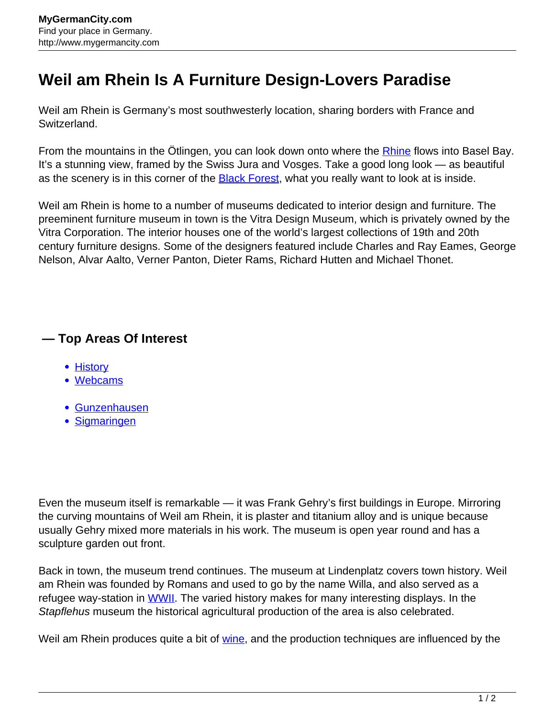## **Weil am Rhein Is A Furniture Design-Lovers Paradise**

Weil am Rhein is Germany's most southwesterly location, sharing borders with France and Switzerland.

From the mountains in the Ötlingen, you can look down onto where the **Rhine** flows into Basel Bay. It's a stunning view, framed by the Swiss Jura and Vosges. Take a good long look — as beautiful as the scenery is in this corner of the **Black Forest**, what you really want to look at is inside.

Weil am Rhein is home to a number of museums dedicated to interior design and furniture. The preeminent furniture museum in town is the Vitra Design Museum, which is privately owned by the Vitra Corporation. The interior houses one of the world's largest collections of 19th and 20th century furniture designs. Some of the designers featured include Charles and Ray Eames, George Nelson, Alvar Aalto, Verner Panton, Dieter Rams, Richard Hutten and Michael Thonet.

## **— Top Areas Of Interest**

- [History](http://www.mygermancity.com/leipzig-history)
- [Webcams](http://www.mygermancity.com/neustadt-holstein-webcams)
- [Gunzenhausen](http://www.mygermancity.com/gunzenhausen)
- [Sigmaringen](http://www.mygermancity.com/sigmaringen)

Even the museum itself is remarkable — it was Frank Gehry's first buildings in Europe. Mirroring the curving mountains of Weil am Rhein, it is plaster and titanium alloy and is unique because usually Gehry mixed more materials in his work. The museum is open year round and has a sculpture garden out front.

Back in town, the museum trend continues. The museum at Lindenplatz covers town history. Weil am Rhein was founded by Romans and used to go by the name Willa, and also served as a refugee way-station in [WWII.](http://www.mygermancity.com/world-war-ii) The varied history makes for many interesting displays. In the Stapflehus museum the historical agricultural production of the area is also celebrated.

Weil am Rhein produces quite a bit of [wine,](http://www.mygermancity.com/german-wine) and the production techniques are influenced by the